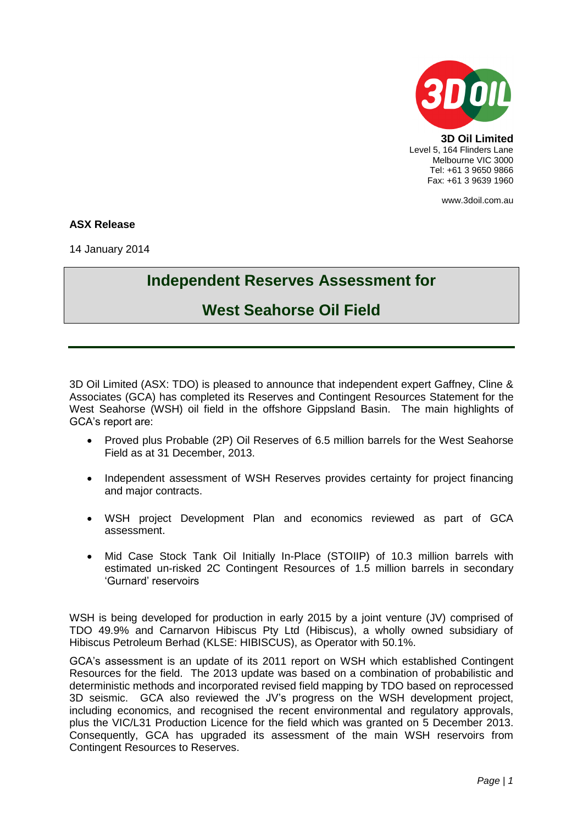

**3D Oil Limited** Level 5, 164 Flinders Lane Melbourne VIC 3000 Tel: +61 3 9650 9866 Fax: +61 3 9639 1960

www.3doil.com.au

## **ASX Release**

14 January 2014

## **Independent Reserves Assessment for**

## **West Seahorse Oil Field**

3D Oil Limited (ASX: TDO) is pleased to announce that independent expert Gaffney, Cline & Associates (GCA) has completed its Reserves and Contingent Resources Statement for the West Seahorse (WSH) oil field in the offshore Gippsland Basin. The main highlights of GCA's report are:

- Proved plus Probable (2P) Oil Reserves of 6.5 million barrels for the West Seahorse Field as at 31 December, 2013.
- Independent assessment of WSH Reserves provides certainty for project financing and major contracts.
- WSH project Development Plan and economics reviewed as part of GCA assessment.
- Mid Case Stock Tank Oil Initially In-Place (STOIIP) of 10.3 million barrels with estimated un-risked 2C Contingent Resources of 1.5 million barrels in secondary 'Gurnard' reservoirs

WSH is being developed for production in early 2015 by a joint venture (JV) comprised of TDO 49.9% and Carnarvon Hibiscus Pty Ltd (Hibiscus), a wholly owned subsidiary of Hibiscus Petroleum Berhad (KLSE: HIBISCUS), as Operator with 50.1%.

GCA's assessment is an update of its 2011 report on WSH which established Contingent Resources for the field. The 2013 update was based on a combination of probabilistic and deterministic methods and incorporated revised field mapping by TDO based on reprocessed 3D seismic. GCA also reviewed the JV's progress on the WSH development project, including economics, and recognised the recent environmental and regulatory approvals, plus the VIC/L31 Production Licence for the field which was granted on 5 December 2013. Consequently, GCA has upgraded its assessment of the main WSH reservoirs from Contingent Resources to Reserves.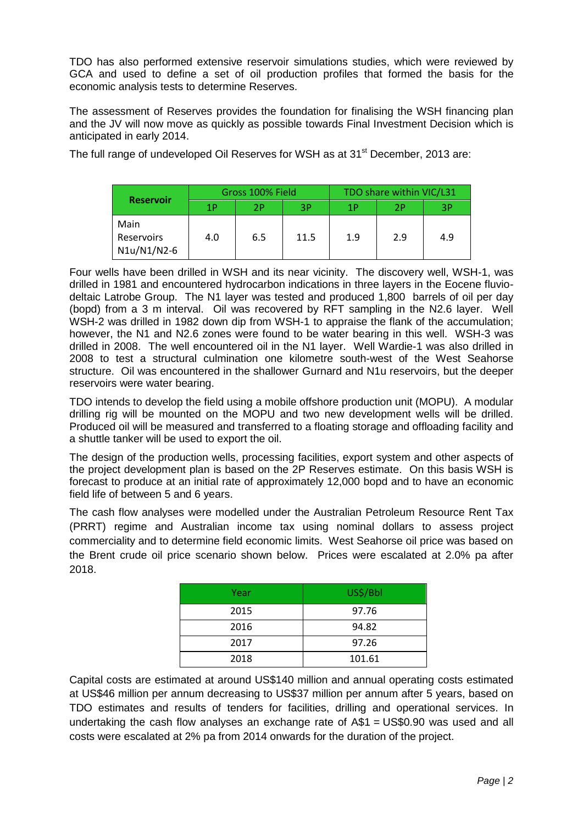TDO has also performed extensive reservoir simulations studies, which were reviewed by GCA and used to define a set of oil production profiles that formed the basis for the economic analysis tests to determine Reserves.

The assessment of Reserves provides the foundation for finalising the WSH financing plan and the JV will now move as quickly as possible towards Final Investment Decision which is anticipated in early 2014.

The full range of undeveloped Oil Reserves for WSH as at 31<sup>st</sup> December, 2013 are:

| <b>Reservoir</b>                  | Gross 100% Field |     |      | TDO share within VIC/L31 |     |     |  |
|-----------------------------------|------------------|-----|------|--------------------------|-----|-----|--|
|                                   | 1P               | 2P  | 3P   | 1Р                       | 2P  | 3P  |  |
| Main<br>Reservoirs<br>N1u/N1/N2-6 | 4.0              | 6.5 | 11.5 | 1.9                      | 2.9 | 4.9 |  |

Four wells have been drilled in WSH and its near vicinity. The discovery well, WSH-1, was drilled in 1981 and encountered hydrocarbon indications in three layers in the Eocene fluviodeltaic Latrobe Group. The N1 layer was tested and produced 1,800 barrels of oil per day (bopd) from a 3 m interval. Oil was recovered by RFT sampling in the N2.6 layer. Well WSH-2 was drilled in 1982 down dip from WSH-1 to appraise the flank of the accumulation; however, the N1 and N2.6 zones were found to be water bearing in this well. WSH-3 was drilled in 2008. The well encountered oil in the N1 layer. Well Wardie-1 was also drilled in 2008 to test a structural culmination one kilometre south-west of the West Seahorse structure. Oil was encountered in the shallower Gurnard and N1u reservoirs, but the deeper reservoirs were water bearing.

TDO intends to develop the field using a mobile offshore production unit (MOPU). A modular drilling rig will be mounted on the MOPU and two new development wells will be drilled. Produced oil will be measured and transferred to a floating storage and offloading facility and a shuttle tanker will be used to export the oil.

The design of the production wells, processing facilities, export system and other aspects of the project development plan is based on the 2P Reserves estimate. On this basis WSH is forecast to produce at an initial rate of approximately 12,000 bopd and to have an economic field life of between 5 and 6 years.

The cash flow analyses were modelled under the Australian Petroleum Resource Rent Tax (PRRT) regime and Australian income tax using nominal dollars to assess project commerciality and to determine field economic limits. West Seahorse oil price was based on the Brent crude oil price scenario shown below. Prices were escalated at 2.0% pa after 2018.

| Year | US\$/Bbl |  |  |  |
|------|----------|--|--|--|
| 2015 | 97.76    |  |  |  |
| 2016 | 94.82    |  |  |  |
| 2017 | 97.26    |  |  |  |
| 2018 | 101.61   |  |  |  |

Capital costs are estimated at around US\$140 million and annual operating costs estimated at US\$46 million per annum decreasing to US\$37 million per annum after 5 years, based on TDO estimates and results of tenders for facilities, drilling and operational services. In undertaking the cash flow analyses an exchange rate of A\$1 = US\$0.90 was used and all costs were escalated at 2% pa from 2014 onwards for the duration of the project.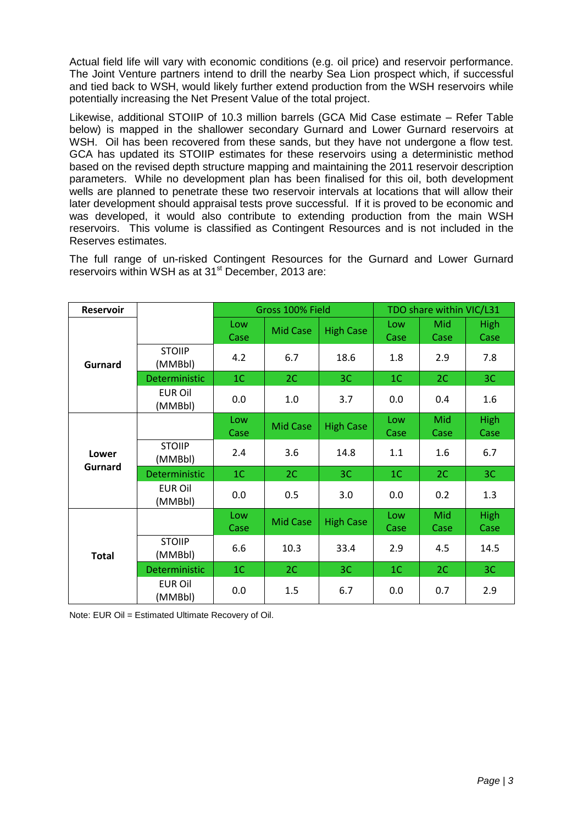Actual field life will vary with economic conditions (e.g. oil price) and reservoir performance. The Joint Venture partners intend to drill the nearby Sea Lion prospect which, if successful and tied back to WSH, would likely further extend production from the WSH reservoirs while potentially increasing the Net Present Value of the total project.

Likewise, additional STOIIP of 10.3 million barrels (GCA Mid Case estimate – Refer Table below) is mapped in the shallower secondary Gurnard and Lower Gurnard reservoirs at WSH. Oil has been recovered from these sands, but they have not undergone a flow test. GCA has updated its STOIIP estimates for these reservoirs using a deterministic method based on the revised depth structure mapping and maintaining the 2011 reservoir description parameters. While no development plan has been finalised for this oil, both development wells are planned to penetrate these two reservoir intervals at locations that will allow their later development should appraisal tests prove successful. If it is proved to be economic and was developed, it would also contribute to extending production from the main WSH reservoirs. This volume is classified as Contingent Resources and is not included in the Reserves estimates.

The full range of un-risked Contingent Resources for the Gurnard and Lower Gurnard reservoirs within WSH as at 31<sup>st</sup> December, 2013 are:

| <b>Reservoir</b> |                           | Gross 100% Field |                 |                  | TDO share within VIC/L31 |             |                     |
|------------------|---------------------------|------------------|-----------------|------------------|--------------------------|-------------|---------------------|
|                  |                           | Low<br>Case      | <b>Mid Case</b> | <b>High Case</b> | Low<br>Case              | Mid<br>Case | <b>High</b><br>Case |
| Gurnard          | <b>STOIIP</b><br>(MMBbl)  | 4.2              | 6.7             | 18.6             | 1.8                      | 2.9         | 7.8                 |
|                  | Deterministic             | 1 <sup>C</sup>   | 2C              | 3C               | 1 <sup>C</sup>           | 2C          | 3C                  |
|                  | <b>EUR Oil</b><br>(MMBbl) | 0.0              | 1.0             | 3.7              | 0.0                      | 0.4         | 1.6                 |
| Lower<br>Gurnard |                           | Low<br>Case      | Mid Case        | <b>High Case</b> | Low<br>Case              | Mid<br>Case | <b>High</b><br>Case |
|                  | <b>STOIIP</b><br>(MMBbl)  | 2.4              | 3.6             | 14.8             | 1.1                      | 1.6         | 6.7                 |
|                  | Deterministic             | 1 <sup>C</sup>   | 2C              | 3 <sup>C</sup>   | 1 <sup>C</sup>           | 2C          | 3C                  |
|                  | <b>EUR Oil</b><br>(MMBbl) | 0.0              | 0.5             | 3.0              | 0.0                      | 0.2         | 1.3                 |
| <b>Total</b>     |                           | Low<br>Case      | <b>Mid Case</b> | <b>High Case</b> | Low<br>Case              | Mid<br>Case | <b>High</b><br>Case |
|                  | <b>STOIIP</b><br>(MMBbl)  | 6.6              | 10.3            | 33.4             | 2.9                      | 4.5         | 14.5                |
|                  | Deterministic             | 1 <sup>C</sup>   | 2C              | 3 <sub>C</sub>   | 1 <sup>C</sup>           | 2C          | 3C                  |
|                  | <b>EUR Oil</b><br>(MMBbl) | 0.0              | 1.5             | 6.7              | 0.0                      | 0.7         | 2.9                 |

Note: EUR Oil = Estimated Ultimate Recovery of Oil.